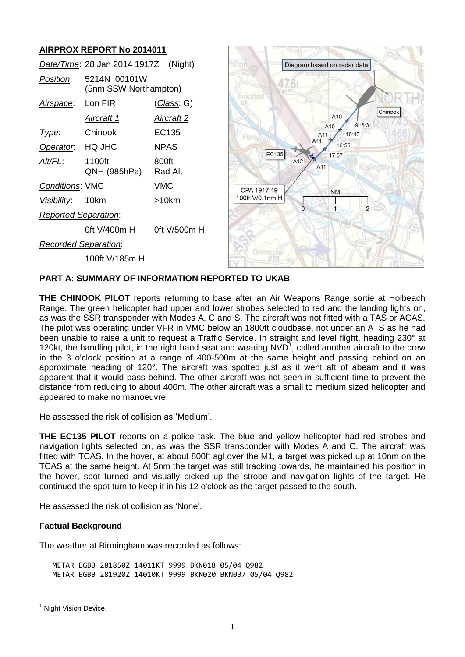# **AIRPROX REPORT No 2014011**

|                             | Date/Time: 28 Jan 2014 1917Z (Night)  |                    |
|-----------------------------|---------------------------------------|--------------------|
| Position:                   | 5214N 00101W<br>(5nm SSW Northampton) |                    |
| Airspace: Lon FIR           |                                       | <u>(Class</u> : G) |
|                             | <u>Aircraft 1</u>                     | <u>Aircraft 2</u>  |
| Type:                       | Chinook                               | EC135              |
| Operator. HQ JHC            |                                       | NPAS               |
| Alt/FL:                     | 1100ft<br>QNH (985hPa)                | 800ft<br>Rad Alt   |
| <b>Conditions: VMC</b>      |                                       | VMC                |
| Visibility: 10km            |                                       | >10km              |
| <b>Reported Separation:</b> |                                       |                    |
|                             | 0ft V/400m H                          | 0ft V/500m H       |
| <b>Recorded Separation:</b> |                                       |                    |
|                             | 100ft V/185m H                        |                    |



# **PART A: SUMMARY OF INFORMATION REPORTED TO UKAB**

**THE CHINOOK PILOT** reports returning to base after an Air Weapons Range sortie at Holbeach Range. The green helicopter had upper and lower strobes selected to red and the landing lights on, as was the SSR transponder with Modes A, C and S. The aircraft was not fitted with a TAS or ACAS. The pilot was operating under VFR in VMC below an 1800ft cloudbase, not under an ATS as he had been unable to raise a unit to request a Traffic Service. In straight and level flight, heading 230° at 120kt, the handling pilot, in the right hand seat and wearing  $NVD<sup>1</sup>$ , called another aircraft to the crew in the 3 o'clock position at a range of 400-500m at the same height and passing behind on an approximate heading of 120°. The aircraft was spotted just as it went aft of abeam and it was apparent that it would pass behind. The other aircraft was not seen in sufficient time to prevent the distance from reducing to about 400m. The other aircraft was a small to medium sized helicopter and appeared to make no manoeuvre.

He assessed the risk of collision as 'Medium'.

**THE EC135 PILOT** reports on a police task. The blue and yellow helicopter had red strobes and navigation lights selected on, as was the SSR transponder with Modes A and C. The aircraft was fitted with TCAS. In the hover, at about 800ft agl over the M1, a target was picked up at 10nm on the TCAS at the same height. At 5nm the target was still tracking towards, he maintained his position in the hover, spot turned and visually picked up the strobe and navigation lights of the target. He continued the spot turn to keep it in his 12 o'clock as the target passed to the south.

He assessed the risk of collision as 'None'.

# **Factual Background**

The weather at Birmingham was recorded as follows:

METAR EGBB 281850Z 14011KT 9999 BKN018 05/04 Q982 METAR EGBB 281920Z 14010KT 9999 BKN020 BKN037 05/04 Q982

 $\overline{a}$ 

<sup>&</sup>lt;sup>1</sup> Night Vision Device.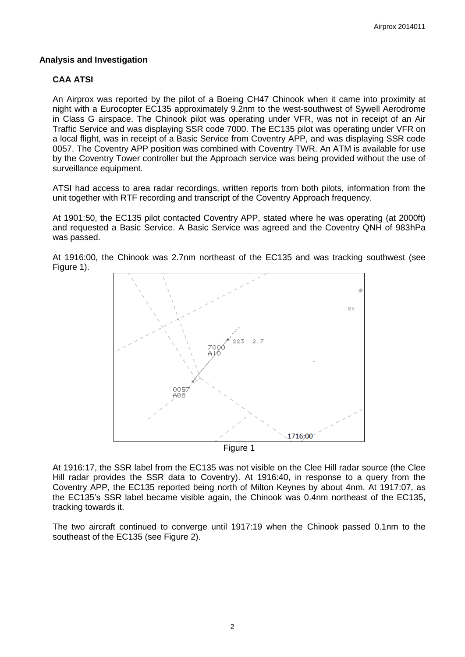#### **Analysis and Investigation**

# **CAA ATSI**

An Airprox was reported by the pilot of a Boeing CH47 Chinook when it came into proximity at night with a Eurocopter EC135 approximately 9.2nm to the west-southwest of Sywell Aerodrome in Class G airspace. The Chinook pilot was operating under VFR, was not in receipt of an Air Traffic Service and was displaying SSR code 7000. The EC135 pilot was operating under VFR on a local flight, was in receipt of a Basic Service from Coventry APP, and was displaying SSR code 0057. The Coventry APP position was combined with Coventry TWR. An ATM is available for use by the Coventry Tower controller but the Approach service was being provided without the use of surveillance equipment.

ATSI had access to area radar recordings, written reports from both pilots, information from the unit together with RTF recording and transcript of the Coventry Approach frequency.

At 1901:50, the EC135 pilot contacted Coventry APP, stated where he was operating (at 2000ft) and requested a Basic Service. A Basic Service was agreed and the Coventry QNH of 983hPa was passed.

At 1916:00, the Chinook was 2.7nm northeast of the EC135 and was tracking southwest (see Figure 1).



At 1916:17, the SSR label from the EC135 was not visible on the Clee Hill radar source (the Clee Hill radar provides the SSR data to Coventry). At 1916:40, in response to a query from the Coventry APP, the EC135 reported being north of Milton Keynes by about 4nm. At 1917:07, as the EC135's SSR label became visible again, the Chinook was 0.4nm northeast of the EC135, tracking towards it.

The two aircraft continued to converge until 1917:19 when the Chinook passed 0.1nm to the southeast of the EC135 (see Figure 2).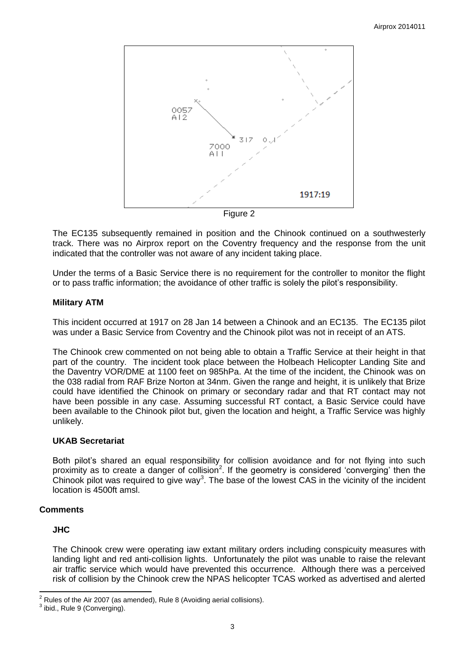

Figure 2

The EC135 subsequently remained in position and the Chinook continued on a southwesterly track. There was no Airprox report on the Coventry frequency and the response from the unit indicated that the controller was not aware of any incident taking place.

Under the terms of a Basic Service there is no requirement for the controller to monitor the flight or to pass traffic information; the avoidance of other traffic is solely the pilot's responsibility.

#### **Military ATM**

This incident occurred at 1917 on 28 Jan 14 between a Chinook and an EC135. The EC135 pilot was under a Basic Service from Coventry and the Chinook pilot was not in receipt of an ATS.

The Chinook crew commented on not being able to obtain a Traffic Service at their height in that part of the country. The incident took place between the Holbeach Helicopter Landing Site and the Daventry VOR/DME at 1100 feet on 985hPa. At the time of the incident, the Chinook was on the 038 radial from RAF Brize Norton at 34nm. Given the range and height, it is unlikely that Brize could have identified the Chinook on primary or secondary radar and that RT contact may not have been possible in any case. Assuming successful RT contact, a Basic Service could have been available to the Chinook pilot but, given the location and height, a Traffic Service was highly unlikely.

# **UKAB Secretariat**

Both pilot's shared an equal responsibility for collision avoidance and for not flying into such proximity as to create a danger of collision<sup>2</sup>. If the geometry is considered 'converging' then the Chinook pilot was required to give way<sup>3</sup>. The base of the lowest CAS in the vicinity of the incident location is 4500ft amsl.

# **Comments**

#### **JHC**

The Chinook crew were operating iaw extant military orders including conspicuity measures with landing light and red anti-collision lights. Unfortunately the pilot was unable to raise the relevant air traffic service which would have prevented this occurrence. Although there was a perceived risk of collision by the Chinook crew the NPAS helicopter TCAS worked as advertised and alerted

 $\overline{\phantom{a}}$  $2^2$  Rules of the Air 2007 (as amended), Rule 8 (Avoiding aerial collisions).

 $3$  ibid., Rule 9 (Converging).